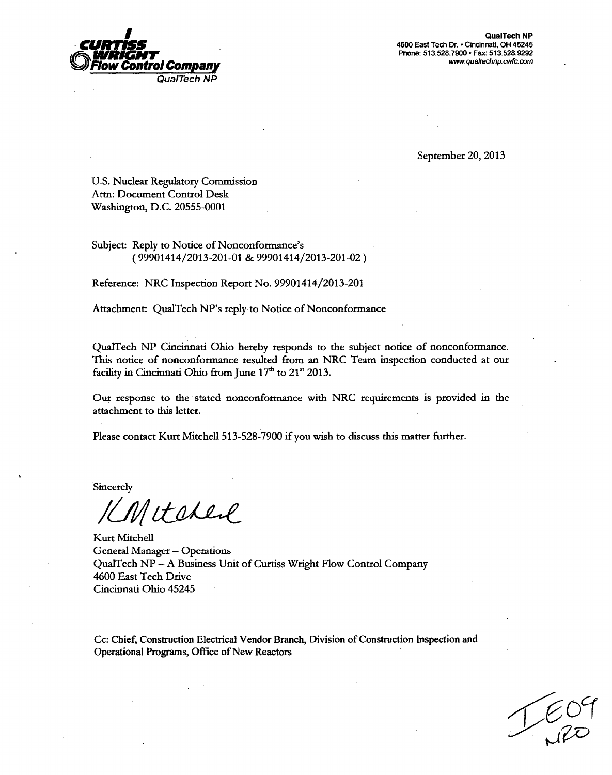

**I**QualTech NP<br>**4600 East Tech Dr. • Cincinnati, OH 45245** Phone: 513.528.7900 • Fax: 513.528.9292<br>*Www.qualtechnp.cwfc.com* 

September 20, 2013

U.S. Nuclear Regulatory Commission Atn: Document Control Desk Washington, D.C. 20555-0001

Subject: Reply to Notice of Nonconformance's (99901414/2013-201-01 & 99901414/2013-201-02)

Reference: NRC Inspection Report No. 99901414/2013-201

Attachment: QualTech NP's reply to Notice of Nonconformance

QualTech NP Cincinnati Ohio hereby responds to the subject notice of nonconformance. This notice of nonconformance resulted from an NRC Team inspection conducted at our facility in Cincinnati Ohio from June 17<sup>th</sup> to 21<sup>st</sup> 2013.

Our response to the stated nonconformance with NRC requirements is provided in the attachment to this letter.

Please contact Kurt Mitchell 513-528-7900 if you wish to discuss this matter further.

Sincerely

Mitchere

Kurt Mitchell General Manager - Operations QualTech NP - A Business Unit of Curtiss Wright Flow Control Company 4600 East Tech Drive Cincinnati Ohio 45245

Cc: Chief, Construction Electrical Vendor Branch, Division of Construction Inspection and Operational Programs, Office of New Reactors

 $160$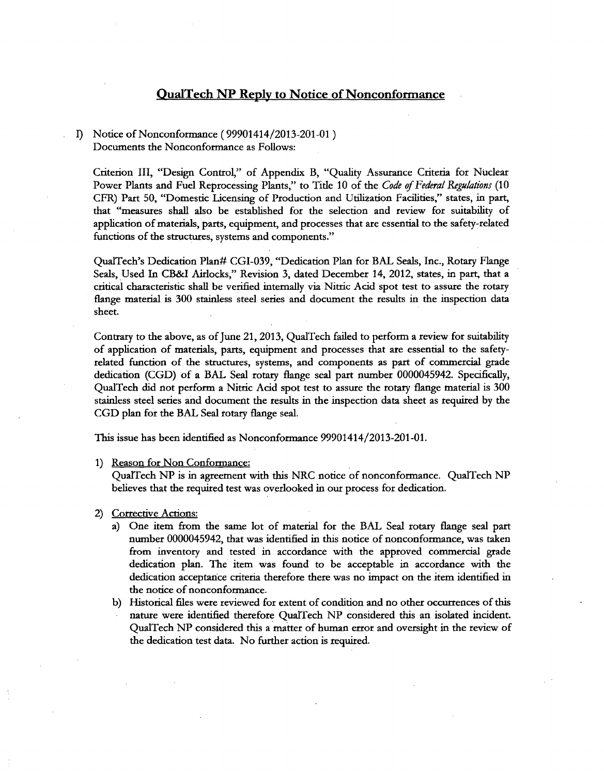# QualTech **NP** Reply to Notice of Nonconformance

## I) Notice of Nonconformance (99901414/2013-201-01) Documents the Nonconformance as Follows:

Criterion III, "Design Control," of Appendix B, "Quality Assurance Criteria for Nuclear Power Plants and Fuel Reprocessing Plants," to Title 10 of the Code of Federal Regulations (10 CFR) Part 50, "Domestic Licensing of Production and Utilization Facilities," states, in part, that "measures shall also be esta application of materials, parts, equipment, and processes that are essential to the safety-related functions of the structures, systems and components."

QualTech's Dedication Plan# CGI-039, "Dedication Plan for BAL Seals, Inc., Rotary Flange Seals, Used In CB&I Airlocks," Revision 3, dated December 14, 2012, states, in part, that a critical characteristic shall be verified internally via Nitric Acid spot test to assure the rotary flange material is 300 stainless steel series and document the results in the inspection data sheet.

Contrary to the above, as of June 21, 2013, QualTech failed to perform a review for suitability<br>of application of materials, parts, equipment and processes that are essential to the safety-<br>related function of the structur stainless steel series and document the results in the inspection data sheet as required by the CGD plan for the BAL Seal rotary flange seal.

This issue has been identified as Nonconformance 99901414/2013-201-01.

1) Reason for Non Conformance:

QualTech NP is in agreement with this NRC notice of nonconformance. QualTech NP believes that the required test was overlooked in our process for dedication.

### 2) Corrective Actions:

- a) One item from the same lot of material for the BAL Seal rotary flange seal part number 0000045942, that was identified in this notice of nonconformance, was taken from inventory and tested in accordance with the approved commercial grade dedication plan. The item was found to be acceptable in accordance with the dedication acceptance criteria therefore there was no impact on the item identified in the notice of nonconformance.
- b) Historical files were reviewed for extent of condition and no other occurrences of this nature were identified therefore QualTech NP considered this an isolated incident. QualTech NP considered this a matter of human error and oversight in the review of the dedication test data. No further action is required.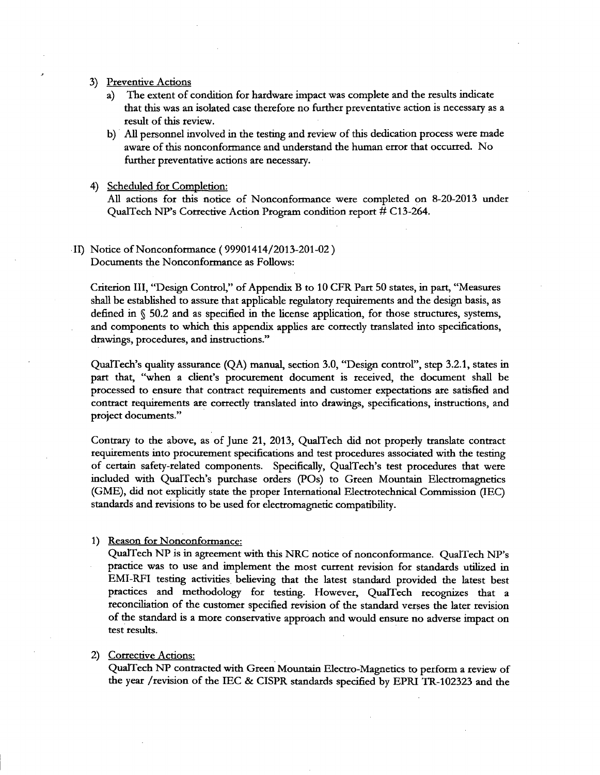- 3) Preventive Actions
	- a) The extent of condition for hardware impact was complete and the results indicate that this was an isolated case therefore no further preventative action is necessary as a result of this review.
	- b) All personnel involved in the testing and review of this dedication process were made aware of this nonconformance and understand the human error that occurred. No further preventative actions are necessary.

#### 4) Scheduled for Completion:

All actions for this notice of Nonconformance were completed on 8-20-2013 under QualTech NP's Corrective Action Program condition report # C13-264.

# II) Notice of Nonconformance (99901414/2013-201-02) Documents the Nonconformance as Follows:

Criterion III, "Design Control," of Appendix B to 10 CFR Part 50 states, in part, "Measures shall be established to assure that applicable regulatory requirements and the design basis, as defined in **§** 50.2 and as specified in the license application, for those structures, systems, and components to which this appendix applies are correctly translated into specifications, drawings, procedures, and instructions."

QualTech's quality assurance (QA) manual, section 3.0, "Design control", step 3.2.1, states in part that, "when a client's procurement document is received, the document shall be processed to ensure that contract requirements and customer expectations are satisfied and contract requirements are correctly translated into drawings, specifications, instructions, and project documents."

Contrary to the above, as of June 21, 2013, QualTech did not properly translate contract requirements into procurement specifications and test procedures associated with the testing of certain safety-related components. Specifically, QualTech's test procedures that were included with QualTech's purchase orders (POs) to Green Mountain Electromagnetics (GME), did not explicitly state the proper International Electrotechnical Commission (IEC) standards and revisions to be used for electromagnetic compatibility.

### 1) Reason for Nonconformance:

QualTech NP is in agreement with this NRC notice of nonconformance. QualTech NP's practice was to use and implement the most current revision for standards utilized in EMI-RFI testing activities believing that the latest standard provided the latest best practices and methodology for testing. However, QualTech recognizes that a reconciliation of the customer specified revision of the standard verses the later revision of the standard is a more conservative approach and would ensure no adverse impact on test results.

### 2) Corrective Actions:

QualTech NP contracted with Green Mountain Electro-Magnetics to perform a review of the year /revision of the IEC & CISPR standards specified by EPRI TR-102323 and the